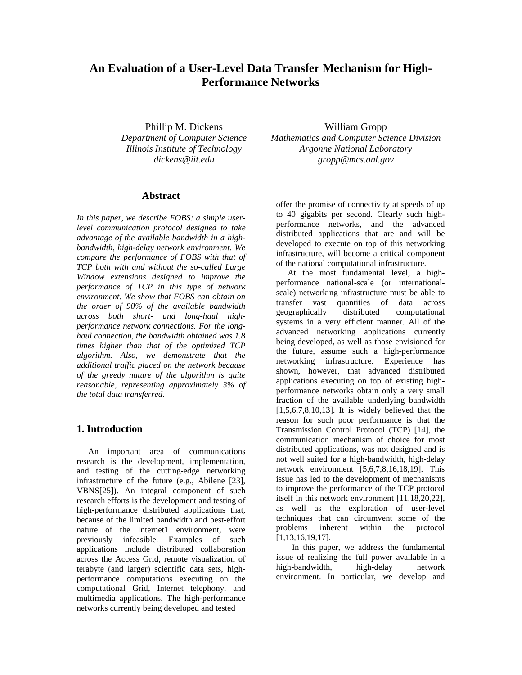# **An Evaluation of a User-Level Data Transfer Mechanism for High-Performance Networks**

Phillip M. Dickens *Department of Computer Science Illinois Institute of Technology dickens@iit.edu*

#### **Abstract**

*In this paper, we describe FOBS: a simple userlevel communication protocol designed to take advantage of the available bandwidth in a highbandwidth, high-delay network environment. We compare the performance of FOBS with that of TCP both with and without the so-called Large Window extensions designed to improve the performance of TCP in this type of network environment. We show that FOBS can obtain on the order of 90% of the available bandwidth across both short- and long-haul highperformance network connections. For the longhaul connection, the bandwidth obtained was 1.8 times higher than that of the optimized TCP algorithm. Also, we demonstrate that the additional traffic placed on the network because of the greedy nature of the algorithm is quite reasonable, representing approximately 3% of the total data transferred.*

#### **1. Introduction**

An important area of communications research is the development, implementation, and testing of the cutting-edge networking infrastructure of the future (e.g., Abilene [23], VBNS[25]). An integral component of such research efforts is the development and testing of high-performance distributed applications that, because of the limited bandwidth and best-effort nature of the Internet1 environment, were previously infeasible. Examples of such applications include distributed collaboration across the Access Grid, remote visualization of terabyte (and larger) scientific data sets, highperformance computations executing on the computational Grid, Internet telephony, and multimedia applications. The high-performance networks currently being developed and tested

William Gropp *Mathematics and Computer Science Division Argonne National Laboratory gropp@mcs.anl.gov*

offer the promise of connectivity at speeds of up to 40 gigabits per second. Clearly such highperformance networks, and the advanced distributed applications that are and will be developed to execute on top of this networking infrastructure, will become a critical component of the national computational infrastructure.

At the most fundamental level, a highperformance national-scale (or internationalscale) networking infrastructure must be able to transfer vast quantities of data across geographically distributed computational systems in a very efficient manner. All of the advanced networking applications currently being developed, as well as those envisioned for the future, assume such a high-performance networking infrastructure. Experience has shown, however, that advanced distributed applications executing on top of existing highperformance networks obtain only a very small fraction of the available underlying bandwidth  $[1,5,6,7,8,10,13]$ . It is widely believed that the reason for such poor performance is that the Transmission Control Protocol (TCP) [14], the communication mechanism of choice for most distributed applications, was not designed and is not well suited for a high-bandwidth, high-delay network environment [5,6,7,8,16,18,19]. This issue has led to the development of mechanisms to improve the performance of the TCP protocol itself in this network environment [11,18,20,22], as well as the exploration of user-level techniques that can circumvent some of the problems inherent within the protocol [1,13,16,19,17].

 In this paper, we address the fundamental issue of realizing the full power available in a high-bandwidth, high-delay network environment. In particular, we develop and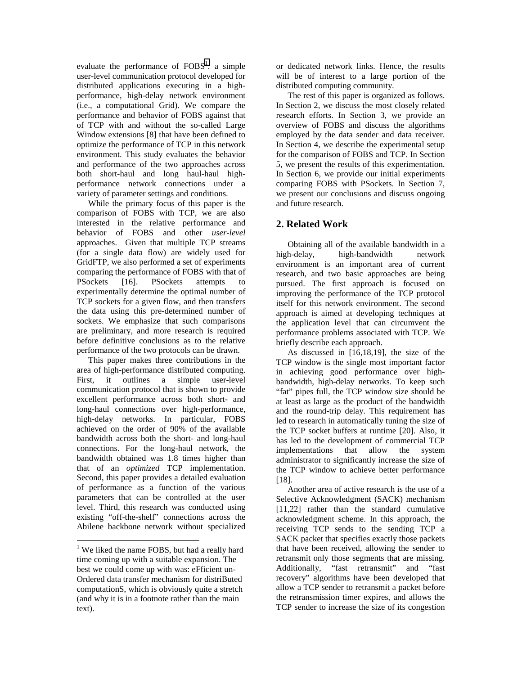evaluate the performance of  $FOBS<sup>1</sup>$ : a simple user-level communication protocol developed for distributed applications executing in a highperformance, high-delay network environment (i.e., a computational Grid). We compare the performance and behavior of FOBS against that of TCP with and without the so-called Large Window extensions [8] that have been defined to optimize the performance of TCP in this network environment. This study evaluates the behavior and performance of the two approaches across both short-haul and long haul-haul highperformance network connections under a variety of parameter settings and conditions.

While the primary focus of this paper is the comparison of FOBS with TCP, we are also interested in the relative performance and behavior of FOBS and other *user-level* approaches. Given that multiple TCP streams (for a single data flow) are widely used for GridFTP, we also performed a set of experiments comparing the performance of FOBS with that of PSockets [16]. PSockets attempts to experimentally determine the optimal number of TCP sockets for a given flow, and then transfers the data using this pre-determined number of sockets. We emphasize that such comparisons are preliminary, and more research is required before definitive conclusions as to the relative performance of the two protocols can be drawn.

This paper makes three contributions in the area of high-performance distributed computing. First, it outlines a simple user-level communication protocol that is shown to provide excellent performance across both short- and long-haul connections over high-performance, high-delay networks. In particular, FOBS achieved on the order of 90% of the available bandwidth across both the short- and long-haul connections. For the long-haul network, the bandwidth obtained was 1.8 times higher than that of an *optimized* TCP implementation. Second, this paper provides a detailed evaluation of performance as a function of the various parameters that can be controlled at the user level. Third, this research was conducted using existing "off-the-shelf" connections across the Abilene backbone network without specialized or dedicated network links. Hence, the results will be of interest to a large portion of the distributed computing community.

The rest of this paper is organized as follows. In Section 2, we discuss the most closely related research efforts. In Section 3, we provide an overview of FOBS and discuss the algorithms employed by the data sender and data receiver. In Section 4, we describe the experimental setup for the comparison of FOBS and TCP. In Section 5, we present the results of this experimentation. In Section 6, we provide our initial experiments comparing FOBS with PSockets. In Section 7, we present our conclusions and discuss ongoing and future research.

# **2. Related Work**

Obtaining all of the available bandwidth in a high-delay, high-bandwidth network environment is an important area of current research, and two basic approaches are being pursued. The first approach is focused on improving the performance of the TCP protocol itself for this network environment. The second approach is aimed at developing techniques at the application level that can circumvent the performance problems associated with TCP. We briefly describe each approach.

As discussed in [16,18,19], the size of the TCP window is the single most important factor in achieving good performance over highbandwidth, high-delay networks. To keep such "fat" pipes full, the TCP window size should be at least as large as the product of the bandwidth and the round-trip delay. This requirement has led to research in automatically tuning the size of the TCP socket buffers at runtime [20]. Also, it has led to the development of commercial TCP implementations that allow the system administrator to significantly increase the size of the TCP window to achieve better performance [18].

Another area of active research is the use of a Selective Acknowledgment (SACK) mechanism [11,22] rather than the standard cumulative acknowledgment scheme. In this approach, the receiving TCP sends to the sending TCP a SACK packet that specifies exactly those packets that have been received, allowing the sender to retransmit only those segments that are missing. Additionally, "fast retransmit" and "fast recovery" algorithms have been developed that allow a TCP sender to retransmit a packet before the retransmission timer expires, and allows the TCP sender to increase the size of its congestion

<sup>&</sup>lt;sup>1</sup> We liked the name FOBS, but had a really hard time coming up with a suitable expansion. The best we could come up with was: eFficient un-Ordered data transfer mechanism for distriButed computationS, which is obviously quite a stretch (and why it is in a footnote rather than the main text).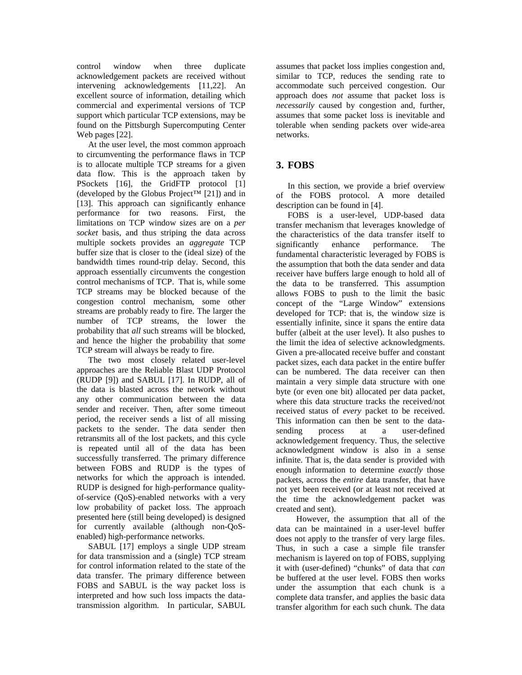control window when three duplicate acknowledgement packets are received without intervening acknowledgements [11,22]. An excellent source of information, detailing which commercial and experimental versions of TCP support which particular TCP extensions, may be found on the Pittsburgh Supercomputing Center Web pages [22].

At the user level, the most common approach to circumventing the performance flaws in TCP is to allocate multiple TCP streams for a given data flow. This is the approach taken by PSockets [16], the GridFTP protocol [1] (developed by the Globus Project™ [21]) and in [13]. This approach can significantly enhance performance for two reasons. First, the limitations on TCP window sizes are on a *per socket* basis, and thus striping the data across multiple sockets provides an *aggregate* TCP buffer size that is closer to the (ideal size) of the bandwidth times round-trip delay. Second, this approach essentially circumvents the congestion control mechanisms of TCP. That is, while some TCP streams may be blocked because of the congestion control mechanism, some other streams are probably ready to fire. The larger the number of TCP streams, the lower the probability that *all* such streams will be blocked, and hence the higher the probability that *some* TCP stream will always be ready to fire.

The two most closely related user-level approaches are the Reliable Blast UDP Protocol (RUDP [9]) and SABUL [17]. In RUDP, all of the data is blasted across the network without any other communication between the data sender and receiver. Then, after some timeout period, the receiver sends a list of all missing packets to the sender. The data sender then retransmits all of the lost packets, and this cycle is repeated until all of the data has been successfully transferred. The primary difference between FOBS and RUDP is the types of networks for which the approach is intended. RUDP is designed for high-performance qualityof-service (QoS)-enabled networks with a very low probability of packet loss. The approach presented here (still being developed) is designed for currently available (although non-QoSenabled) high-performance networks.

SABUL [17] employs a single UDP stream for data transmission and a (single) TCP stream for control information related to the state of the data transfer. The primary difference between FOBS and SABUL is the way packet loss is interpreted and how such loss impacts the datatransmission algorithm. In particular, SABUL

assumes that packet loss implies congestion and, similar to TCP, reduces the sending rate to accommodate such perceived congestion. Our approach does *not* assume that packet loss is *necessarily* caused by congestion and, further, assumes that some packet loss is inevitable and tolerable when sending packets over wide-area networks.

# **3. FOBS**

In this section, we provide a brief overview of the FOBS protocol. A more detailed description can be found in [4].

FOBS is a user-level, UDP-based data transfer mechanism that leverages knowledge of the characteristics of the data transfer itself to significantly enhance performance. The fundamental characteristic leveraged by FOBS is the assumption that both the data sender and data receiver have buffers large enough to hold all of the data to be transferred. This assumption allows FOBS to push to the limit the basic concept of the "Large Window" extensions developed for TCP: that is, the window size is essentially infinite, since it spans the entire data buffer (albeit at the user level). It also pushes to the limit the idea of selective acknowledgments. Given a pre-allocated receive buffer and constant packet sizes, each data packet in the entire buffer can be numbered. The data receiver can then maintain a very simple data structure with one byte (or even one bit) allocated per data packet, where this data structure tracks the received/not received status of *every* packet to be received. This information can then be sent to the datasending process at a user-defined acknowledgement frequency. Thus, the selective acknowledgment window is also in a sense infinite. That is, the data sender is provided with enough information to determine *exactly* those packets, across the *entire* data transfer, that have not yet been received (or at least not received at the time the acknowledgement packet was created and sent).

 However, the assumption that all of the data can be maintained in a user-level buffer does not apply to the transfer of very large files. Thus, in such a case a simple file transfer mechanism is layered on top of FOBS, supplying it with (user-defined) "chunks" of data that *can* be buffered at the user level. FOBS then works under the assumption that each chunk is a complete data transfer, and applies the basic data transfer algorithm for each such chunk. The data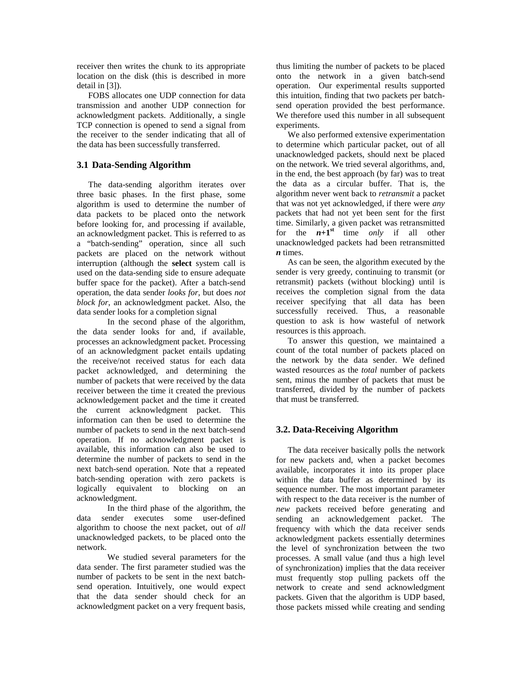receiver then writes the chunk to its appropriate location on the disk (this is described in more detail in [3]).

FOBS allocates one UDP connection for data transmission and another UDP connection for acknowledgment packets. Additionally, a single TCP connection is opened to send a signal from the receiver to the sender indicating that all of the data has been successfully transferred.

#### **3.1 Data-Sending Algorithm**

The data-sending algorithm iterates over three basic phases. In the first phase, some algorithm is used to determine the number of data packets to be placed onto the network before looking for, and processing if available, an acknowledgment packet. This is referred to as a "batch-sending" operation, since all such packets are placed on the network without interruption (although the **select** system call is used on the data-sending side to ensure adequate buffer space for the packet). After a batch-send operation, the data sender *looks for,* but does *not block for*, an acknowledgment packet. Also, the data sender looks for a completion signal

In the second phase of the algorithm, the data sender looks for and, if available, processes an acknowledgment packet. Processing of an acknowledgment packet entails updating the receive/not received status for each data packet acknowledged, and determining the number of packets that were received by the data receiver between the time it created the previous acknowledgement packet and the time it created the current acknowledgment packet. This information can then be used to determine the number of packets to send in the next batch-send operation. If no acknowledgment packet is available, this information can also be used to determine the number of packets to send in the next batch-send operation. Note that a repeated batch-sending operation with zero packets is logically equivalent to blocking on an acknowledgment.

In the third phase of the algorithm, the data sender executes some user-defined algorithm to choose the next packet, out of *all* unacknowledged packets, to be placed onto the network.

We studied several parameters for the data sender. The first parameter studied was the number of packets to be sent in the next batchsend operation. Intuitively, one would expect that the data sender should check for an acknowledgment packet on a very frequent basis,

thus limiting the number of packets to be placed onto the network in a given batch-send operation. Our experimental results supported this intuition, finding that two packets per batchsend operation provided the best performance. We therefore used this number in all subsequent experiments.

We also performed extensive experimentation to determine which particular packet, out of all unacknowledged packets, should next be placed on the network. We tried several algorithms, and, in the end, the best approach (by far) was to treat the data as a circular buffer. That is, the algorithm never went back to *retransmit* a packet that was not yet acknowledged, if there were *any* packets that had not yet been sent for the first time. Similarly, a given packet was retransmitted for the  $n+1$ <sup>st</sup> time *only* if all other unacknowledged packets had been retransmitted *n* times.

As can be seen, the algorithm executed by the sender is very greedy, continuing to transmit (or retransmit) packets (without blocking) until is receives the completion signal from the data receiver specifying that all data has been successfully received. Thus, a reasonable question to ask is how wasteful of network resources is this approach.

To answer this question, we maintained a count of the total number of packets placed on the network by the data sender. We defined wasted resources as the *total* number of packets sent, minus the number of packets that must be transferred, divided by the number of packets that must be transferred.

# **3.2. Data-Receiving Algorithm**

The data receiver basically polls the network for new packets and, when a packet becomes available, incorporates it into its proper place within the data buffer as determined by its sequence number. The most important parameter with respect to the data receiver is the number of *new* packets received before generating and sending an acknowledgement packet. The frequency with which the data receiver sends acknowledgment packets essentially determines the level of synchronization between the two processes. A small value (and thus a high level of synchronization) implies that the data receiver must frequently stop pulling packets off the network to create and send acknowledgment packets. Given that the algorithm is UDP based, those packets missed while creating and sending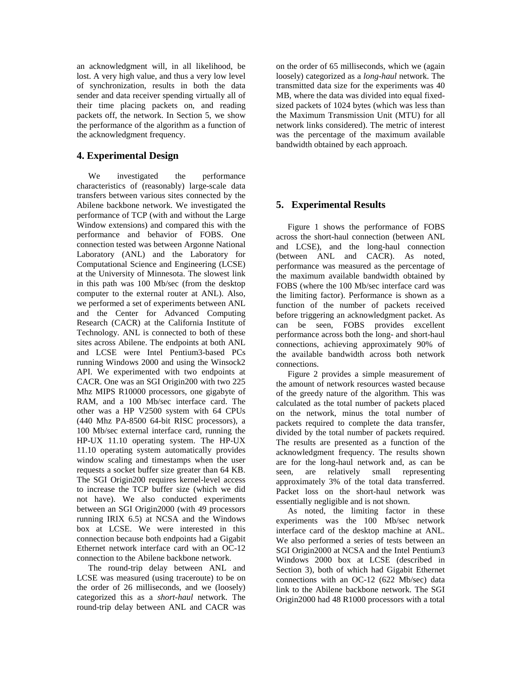an acknowledgment will, in all likelihood, be lost. A very high value, and thus a very low level of synchronization, results in both the data sender and data receiver spending virtually all of their time placing packets on, and reading packets off, the network. In Section 5, we show the performance of the algorithm as a function of the acknowledgment frequency.

### **4. Experimental Design**

We investigated the performance characteristics of (reasonably) large-scale data transfers between various sites connected by the Abilene backbone network. We investigated the performance of TCP (with and without the Large Window extensions) and compared this with the performance and behavior of FOBS. One connection tested was between Argonne National Laboratory (ANL) and the Laboratory for Computational Science and Engineering (LCSE) at the University of Minnesota. The slowest link in this path was 100 Mb/sec (from the desktop computer to the external router at ANL). Also, we performed a set of experiments between ANL and the Center for Advanced Computing Research (CACR) at the California Institute of Technology. ANL is connected to both of these sites across Abilene. The endpoints at both ANL and LCSE were Intel Pentium3-based PCs running Windows 2000 and using the Winsock2 API. We experimented with two endpoints at CACR. One was an SGI Origin200 with two 225 Mhz MIPS R10000 processors, one gigabyte of RAM, and a 100 Mb/sec interface card. The other was a HP V2500 system with 64 CPUs (440 Mhz PA-8500 64-bit RISC processors), a 100 Mb/sec external interface card, running the HP-UX 11.10 operating system. The HP-UX 11.10 operating system automatically provides window scaling and timestamps when the user requests a socket buffer size greater than 64 KB. The SGI Origin200 requires kernel-level access to increase the TCP buffer size (which we did not have). We also conducted experiments between an SGI Origin2000 (with 49 processors running IRIX 6.5) at NCSA and the Windows box at LCSE. We were interested in this connection because both endpoints had a Gigabit Ethernet network interface card with an OC-12 connection to the Abilene backbone network.

The round-trip delay between ANL and LCSE was measured (using traceroute) to be on the order of 26 milliseconds, and we (loosely) categorized this as a *short-haul* network. The round-trip delay between ANL and CACR was on the order of 65 milliseconds, which we (again loosely) categorized as a *long-haul* network. The transmitted data size for the experiments was 40 MB, where the data was divided into equal fixedsized packets of 1024 bytes (which was less than the Maximum Transmission Unit (MTU) for all network links considered). The metric of interest was the percentage of the maximum available bandwidth obtained by each approach.

# **5. Experimental Results**

Figure 1 shows the performance of FOBS across the short-haul connection (between ANL and LCSE), and the long-haul connection (between ANL and CACR). As noted, performance was measured as the percentage of the maximum available bandwidth obtained by FOBS (where the 100 Mb/sec interface card was the limiting factor). Performance is shown as a function of the number of packets received before triggering an acknowledgment packet. As can be seen, FOBS provides excellent performance across both the long- and short-haul connections, achieving approximately 90% of the available bandwidth across both network connections.

Figure 2 provides a simple measurement of the amount of network resources wasted because of the greedy nature of the algorithm. This was calculated as the total number of packets placed on the network, minus the total number of packets required to complete the data transfer, divided by the total number of packets required. The results are presented as a function of the acknowledgment frequency. The results shown are for the long-haul network and, as can be seen, are relatively small representing approximately 3% of the total data transferred. Packet loss on the short-haul network was essentially negligible and is not shown.

As noted, the limiting factor in these experiments was the 100 Mb/sec network interface card of the desktop machine at ANL. We also performed a series of tests between an SGI Origin2000 at NCSA and the Intel Pentium3 Windows 2000 box at LCSE (described in Section 3), both of which had Gigabit Ethernet connections with an OC-12 (622 Mb/sec) data link to the Abilene backbone network. The SGI Origin2000 had 48 R1000 processors with a total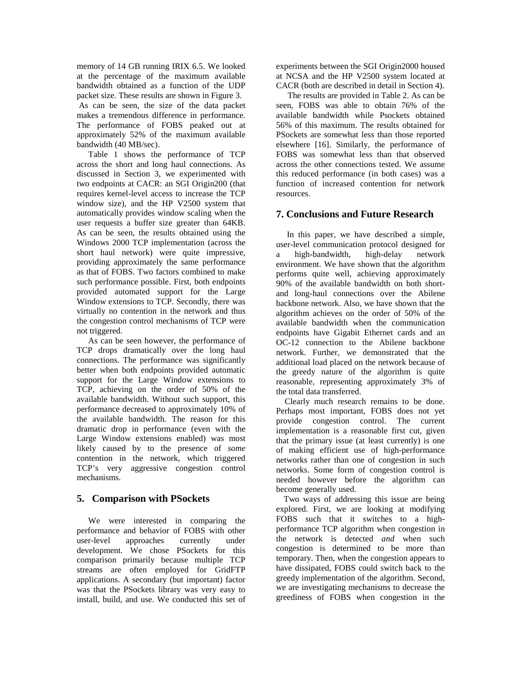memory of 14 GB running IRIX 6.5. We looked at the percentage of the maximum available bandwidth obtained as a function of the UDP packet size. These results are shown in Figure 3. As can be seen, the size of the data packet makes a tremendous difference in performance. The performance of FOBS peaked out at approximately 52% of the maximum available bandwidth (40 MB/sec).

Table 1 shows the performance of TCP across the short and long haul connections. As discussed in Section 3, we experimented with two endpoints at CACR: an SGI Origin200 (that requires kernel-level access to increase the TCP window size), and the HP V2500 system that automatically provides window scaling when the user requests a buffer size greater than 64KB. As can be seen, the results obtained using the Windows 2000 TCP implementation (across the short haul network) were quite impressive, providing approximately the same performance as that of FOBS. Two factors combined to make such performance possible. First, both endpoints provided automated support for the Large Window extensions to TCP. Secondly, there was virtually no contention in the network and thus the congestion control mechanisms of TCP were not triggered.

As can be seen however, the performance of TCP drops dramatically over the long haul connections. The performance was significantly better when both endpoints provided automatic support for the Large Window extensions to TCP, achieving on the order of 50% of the available bandwidth. Without such support, this performance decreased to approximately 10% of the available bandwidth. The reason for this dramatic drop in performance (even with the Large Window extensions enabled) was most likely caused by to the presence of *some* contention in the network, which triggered TCP's very aggressive congestion control mechanisms.

### **5. Comparison with PSockets**

We were interested in comparing the performance and behavior of FOBS with other user-level approaches currently under development. We chose PSockets for this comparison primarily because multiple TCP streams are often employed for GridFTP applications. A secondary (but important) factor was that the PSockets library was very easy to install, build, and use. We conducted this set of experiments between the SGI Origin2000 housed at NCSA and the HP V2500 system located at CACR (both are described in detail in Section 4).

The results are provided in Table 2. As can be seen, FOBS was able to obtain 76% of the available bandwidth while Psockets obtained 56% of this maximum. The results obtained for PSockets are somewhat less than those reported elsewhere [16]. Similarly, the performance of FOBS was somewhat less than that observed across the other connections tested. We assume this reduced performance (in both cases) was a function of increased contention for network resources.

### **7. Conclusions and Future Research**

 In this paper, we have described a simple, user-level communication protocol designed for a high-bandwidth, high-delay network environment. We have shown that the algorithm performs quite well, achieving approximately 90% of the available bandwidth on both shortand long-haul connections over the Abilene backbone network. Also, we have shown that the algorithm achieves on the order of 50% of the available bandwidth when the communication endpoints have Gigabit Ethernet cards and an OC-12 connection to the Abilene backbone network. Further, we demonstrated that the additional load placed on the network because of the greedy nature of the algorithm is quite reasonable, representing approximately 3% of the total data transferred.

 Clearly much research remains to be done. Perhaps most important, FOBS does not yet provide congestion control. The current implementation is a reasonable first cut, given that the primary issue (at least currently) is one of making efficient use of high-performance networks rather than one of congestion in such networks. Some form of congestion control is needed however before the algorithm can become generally used.

Two ways of addressing this issue are being explored. First, we are looking at modifying FOBS such that it switches to a highperformance TCP algorithm when congestion in the network is detected *and* when such congestion is determined to be more than temporary. Then, when the congestion appears to have dissipated, FOBS could switch back to the greedy implementation of the algorithm. Second, we are investigating mechanisms to decrease the greediness of FOBS when congestion in the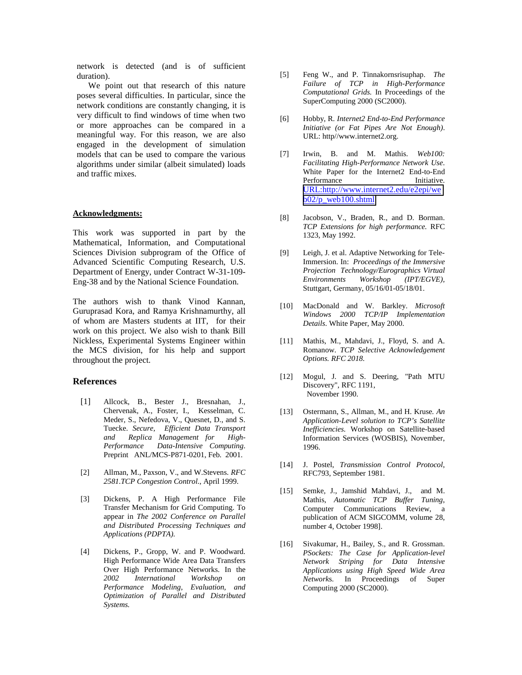network is detected (and is of sufficient duration).

We point out that research of this nature poses several difficulties. In particular, since the network conditions are constantly changing, it is very difficult to find windows of time when two or more approaches can be compared in a meaningful way. For this reason, we are also engaged in the development of simulation models that can be used to compare the various algorithms under similar (albeit simulated) loads and traffic mixes.

#### **Acknowledgments:**

This work was supported in part by the Mathematical, Information, and Computational Sciences Division subprogram of the Office of Advanced Scientific Computing Research, U.S. Department of Energy, under Contract W-31-109- Eng-38 and by the National Science Foundation.

The authors wish to thank Vinod Kannan, Guruprasad Kora, and Ramya Krishnamurthy, all of whom are Masters students at IIT, for their work on this project. We also wish to thank Bill Nickless, Experimental Systems Engineer within the MCS division, for his help and support throughout the project.

#### **References**

- [1] Allcock, B., Bester J., Bresnahan, J., Chervenak, A., Foster, I., Kesselman, C. Meder, S., Nefedova, V., Quesnet, D., and S. Tuecke. *Secure, Efficient Data Transport and Replica Management for High-Performance Data-Intensive Computing*. Preprint ANL/MCS-P871-0201, Feb. 2001.
- [2] Allman, M., Paxson, V., and W.Stevens. *RFC 2581.TCP Congestion Control.*, April 1999.
- [3] Dickens, P. A High Performance File Transfer Mechanism for Grid Computing. To appear in *The 2002 Conference on Parallel and Distributed Processing Techniques and Applications (PDPTA).*
- [4] Dickens, P., Gropp, W. and P. Woodward. High Performance Wide Area Data Transfers Over High Performance Networks. In the *2002 International Workshop on Performance Modeling, Evaluation, and Optimization of Parallel and Distributed Systems.*
- [5] Feng W., and P. Tinnakornsrisuphap. *The Failure of TCP in High-Performance Computational Grids.* In Proceedings of the SuperComputing 2000 (SC2000).
- [6] Hobby, R. *Internet2 End-to-End Performance Initiative (or Fat Pipes Are Not Enough)*. URL: http//www.internet2.org.
- [7] Irwin, B. and M. Mathis. *Web100: Facilitating High-Performance Network Use*. White Paper for the Internet2 End-to-End Performance Initiative. [URL:http://www.internet2.edu/e2epi/we](http://www.internet2.edu/e2epi/web02/p_web100.shtml)  $b02/p$  web100.shtml
- [8] Jacobson, V., Braden, R., and D. Borman. *TCP Extensions for high performance.* RFC 1323, May 1992.
- [9] Leigh, J. et al. Adaptive Networking for Tele-Immersion. In: *Proceedings of the Immersive Projection Technology/Eurographics Virtual Environments Workshop (IPT/EGVE),* Stuttgart, Germany, 05/16/01-05/18/01.
- [10] MacDonald and W. Barkley. *Microsoft Windows 2000 TCP/IP Implementation Details*. White Paper, May 2000.
- [11] Mathis, M., Mahdavi, J., Floyd, S. and A. Romanow. *TCP Selective Acknowledgement Options. RFC 2018.*
- [12] Mogul, J. and S. Deering, "Path MTU Discovery", RFC 1191, November 1990.
- [13] Ostermann, S., Allman, M., and H. Kruse*. An Application-Level solution to TCP's Satellite Inefficiencies.* Workshop on Satellite-based Information Services (WOSBIS), November, 1996.
- [14] J. Postel, *Transmission Control Protocol*, RFC793, September 1981.
- [15] Semke, J., Jamshid Mahdavi, J., and M. Mathis, *Automatic TCP Buffer Tuning*, Computer Communications Review, a publication of ACM SIGCOMM, volume 28, number 4, October 1998].
- [16] Sivakumar, H., Bailey, S., and R. Grossman. *PSockets: The Case for Application-level Network Striping for Data Intensive Applications using High Speed Wide Area Network*s. In Proceedings of Super Computing 2000 (SC2000).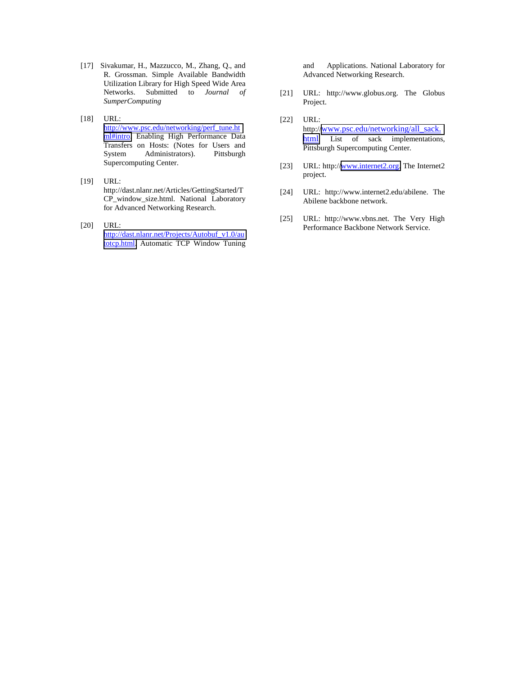- [17] Sivakumar, H., Mazzucco, M., Zhang, Q., and R. Grossman. Simple Available Bandwidth Utilization Library for High Speed Wide Area Networks. Submitted to *Journal of SumperComputing*
- [18] URL: [http://www.psc.edu/networking/perf\\_tune.ht](http://www.psc.edu/networking/perf_tune.html#intro) [ml#intro.](http://www.psc.edu/networking/perf_tune.html#intro) Enabling High Performance Data Transfers on Hosts: (Notes for Users and<br>System Administrators). Pittsburgh Administrators). Supercomputing Center.
- [19] URL: http://dast.nlanr.net/Articles/GettingStarted/T CP\_window\_size.html. National Laboratory for Advanced Networking Research.
- [20] URL: [http://dast.nlanr.net/Projects/Autobuf\\_v1.0/au](http://dast.nlanr.net/Projects/Autobuf_v1.0/autotcp.html) [totcp.html.](http://dast.nlanr.net/Projects/Autobuf_v1.0/autotcp.html) Automatic TCP Window Tuning

and Applications. National Laboratory for Advanced Networking Research.

- [21] URL: http://www.globus.org. The Globus Project.
- [22] URL: http:/[/www.psc.edu/networking/all\\_sack.](http://www.psc.edu/networking/all_sack.html) [html.](http://www.psc.edu/networking/all_sack.html) List of sack implementations, Pittsburgh Supercomputing Center.
- [23] URL: http:/[/www.internet2.org.](http://www.internet2.org/) The Internet2 project.
- [24] URL: http://www.internet2.edu/abilene. The Abilene backbone network.
- [25] URL: http://www.vbns.net. The Very High Performance Backbone Network Service.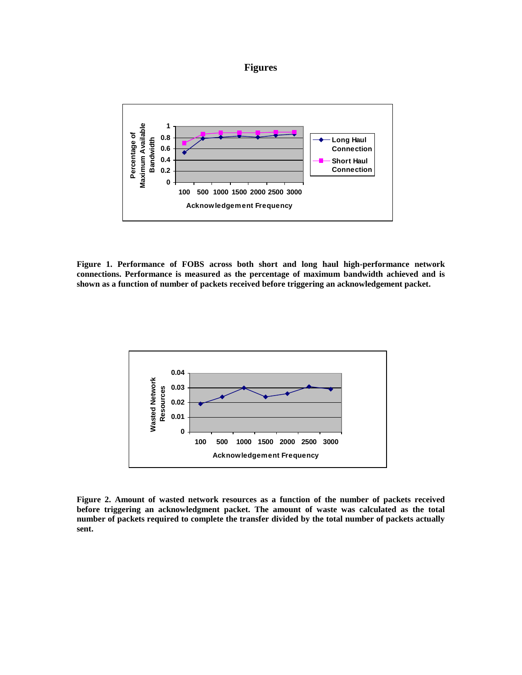



**Figure 1. Performance of FOBS across both short and long haul high-performance network connections. Performance is measured as the percentage of maximum bandwidth achieved and is shown as a function of number of packets received before triggering an acknowledgement packet.**



**Figure 2. Amount of wasted network resources as a function of the number of packets received before triggering an acknowledgment packet. The amount of waste was calculated as the total number of packets required to complete the transfer divided by the total number of packets actually sent.**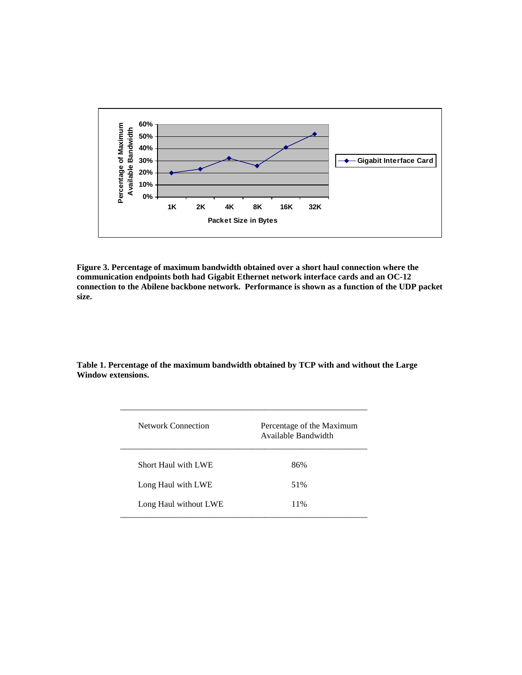

**Figure 3. Percentage of maximum bandwidth obtained over a short haul connection where the communication endpoints both had Gigabit Ethernet network interface cards and an OC-12 connection to the Abilene backbone network. Performance is shown as a function of the UDP packet size.**

**Table 1. Percentage of the maximum bandwidth obtained by TCP with and without the Large Window extensions.**

| <b>Network Connection</b>  | Percentage of the Maximum<br>Available Bandwidth |
|----------------------------|--------------------------------------------------|
| <b>Short Haul with LWE</b> | 86%                                              |
| Long Haul with LWE         | 51%                                              |
| Long Haul without LWE      | 11%                                              |